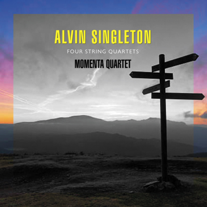# **ALVIN SINGLETON**

## **MOMENTA QUARTET**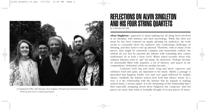

(l-r) Stephanie Griffin, Alex Shiozaki, Alvin Singleton, Michael Haas, Emilie-Anne Gendron. Photo by John Gurrin. Used by permission.

# REFLECTIONS ON ALVIN SINGLETON AND HIS FOUR STRING QUARTETS BY CARMAN MOORE

**Alvin Singleton**'s approach to music-making has all along been involved in an interplay with listeners and their psychology. While this does not mean he has been centered on simply pleasing his audiences, his work seems to constantly draw his audience into confronting challenges of listening, and they tend to end up pleased. Therefore, with so many of his pieces, they might be extremely complex and masterfully crafted, but seldom do you feel he presents the listener with something they cannot understand on at least a basic level. When asked recently about why ordinary listeners seem to "get" his music, he answered: "Perhaps because it's structurally filled with surprises, a lot of silences, and spaces in my compositions. Orchestral colors are another favorite…"

Contrasts both big and small, long and short, vigorous and subdued, loud and quiet, are important to his music. Maybe a passage is presented that happens loudly over and over again followed by sudden silence. Suddenly the listener notices how loud that silence seems. In a way, it is the relationship with the listener that he regards as making serious music a serious matter. It is the deepening of this relationship that I find especially intriguing about Alvin Singleton the composer. And his pieces are more than what is normally thought of as just pieces of music.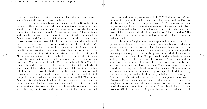One finds them that, yes, but as much as anything, they are experiences almost "theatrical" experiences you can hear.

Of course, being born and raised Black in Brooklyn in a basically White world has made his compositional journey a thing specific. Part of that journey was also spent as an expatriate, first as a composition student of Goffredo Petrassi in Italy via a Fulbright Grant, and then for fourteen years composing professionally for himself in Austria (Graz and Vienna). His introduction to the idea of composing classical music was as a youthful usher at Lincoln Center during Leonard Bernstein's directorship, upon hearing (and loving) Mahler's "Resurrection" Symphony. Having heard mainly jazz in Brooklyn as his first listening experience has surely given him an appreciation for improvisation, and improvisation has given his creativity that special African-American attitude both of make-do and of derring-do. Singleton reports having organized a jazz combo as a young man, but hearing such masters as Thelonious Monk, Miles Davis, and others in New York, he decided he didn't have the goods to make it in that field. Tellingly, at least three of his early composition teachers—Hall Overton, Gunther Schuller, and Mel Powell—both exemplified in their own jazz and classical work and advocated to Alvin, the idea that jazz and classical composing were anything but mutually exclusive. In 20th/21st-century America, this is clearly a calling heard by many musicians. There is room in the open mind for both, even though the resultant creation might not sound obviously like some version of jazz. Knowledge of jazz can clearly guide the composer to work with classical music in brand-new ways and

vice versa. And as for improvisation itself, in 1970 Singleton wrote *Mestizo II*, a work requiring the entire orchestra to improvise. And, in 1981, for the Lenox Arts Center he composed *Necessity Is A Mother* for three improvising, speaking, and chanting actresses and improvising string bass. And yet it would be hard to find a listener, even a critic, who could hear most of his work and identify it as jazz-like or "Black sounding." His contributions are more unusual and personal than that, though the influence is there.

In a way Singleton seems to approach a new piece like a playwright or librettist, in that his musical materials (many of which he creates whole cloth) are treated like characters that throughout the piece behave in their own specific ways, often repeating and repeating unchanged, although they might also grow, as theatrical characters do, over the course of the piece. But you would seldom mistake what the cello, viola, or violin parts would do (or be). And when these characters occasionally interact, they tend to create totally new characters with new characteristics. They may pop up almost anywhere and impose their will upon that moment. They may act in contrast to one another, demonstrating how specifically different they are. Maybe they are suddenly slow and pianissimo after a speedy and loud stretch. Occasionally, as in his recent symphonic masterwork, *Different River*, they might seem to totally ignore each other. But Singleton makes wonderful musical sense even out of the flow of musical moments as different as these. From his admiration for the work of Witold Lutoslawski, Singleton has taken the values of both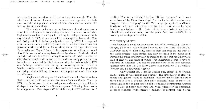improvisation and repetition and how to make them work. When he calls for a phrase or element to be repeated and repeated, he finds ways to make things either sound different each time or sound like one massive separate thing.

That such a major quartet as Momenta should undertake a recording of Singleton's four string quartets comes as no surprise. Singleton's attraction to and gift for writing for stringed instruments is very special. In 1967, as a student in a counterpoint class at the New York College of Music (subsequently taken over by NYU), he composed what on this recording is String Quartet No. 1, his first venture into that instrumentation and form. Its original name for that piece was "Passacaglia and Fugue." Later, in his exploration of strings, he found himself the owner of a string bass almost by chance. A friend's friend needed to divest himself of a string bass and made Alvin an offer so affordable he could hardly refuse it. He could also hardly play it. He says that although he carried the big instrument with him both to Italy in 1971 as a Fulbright awardee and during the following fourteen years in Austria, he only took a few lessons but mainly to connect him physically with strings. And a lifelong, consummate composer of music for strings he did become.

Singleton's 1972 *Argoru II* for solo cello was the first work by a Black composer performed at the Darmstadt Summer Course. Then, in 1974, his *Be Natural* for three strings won Germany's Kranichstein Musikpreis, the first such for a Black composer. Following these works for strings were 1974's *Argoru IV* for viola and, in 2003, *Ishirini* for 2

violins. The term "ishrini" is Swahili for "twenty," as it was commissioned by Music from Angel Fire for its twentieth anniversary. "Argoru" means "to play" in the Twi language spoken in Ghana. Singleton has been using that term for a series of works for solo instruments (piano, cello, flute, viola, bass clarinet, marimba, vibraphone, and snare drum) over the years. And, now in 2022, he is working on an *Argoru* for violin.

#### THE FOUR QUARTETS

Alvin Singleton is noted for the unusual titles of his works (e.g., *Almost A Boogie*, *56 Blows*, *After Fallen Crumbs*, *Say You Have This Ball of Meaning*), many of them witty, some of them honoring an idea such as the Black struggle—even though they may not track in the music itself. Perhaps this titling tendency may be traced to the fact that his father was a man of great wit and sense of humor. That imagination seems to have reappeared in Singleton. One notices that three out of the four recorded quartets have titles: No. 2 is *Secret Desire to Be Black*; No. 3 is *Somehow We Can*; No. 4 is *Hallelujah Anyhow*.

Only Quartet No. 1 has no special title, except in its original manifestation as "Passacaglia and Fugue." This first quartet is closer in theory and general sound to traditional "modern" music than the other three but is itself a detailed (and quite splendid) piece of music. No passacaglia in the original sense, but it is endlessly contrapuntal. Quartet No. 1 is also endlessly passionate and lyrical except for the occasional resort to pizzicato (with spiccato), perhaps for contrast. And it even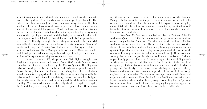seems throughout to extend itself via theme and variations, the thematic material being drawn from the dark and solemn opening cello solo. The other three instruments join in on this solemnity for a while, but suddenly the work skips away allegro via pizzicato. Soon there arises an almost old-fashioned dolce passage. Finally, a long duo section between the second violin and viola introduces the sprawling fugue, quoting some of the opening cello music and displaying some complex rhythmic counterpoint as it is joined by first violin and cello before powering to its close. Brilliantly enough, the closing occurs with the material gradually slowing down into an adagio of gritty harmony. "Modern" music as it may be, Quartet No. 1 does have a Baroque feel to it, sectionalized almost like a Baroque suite of dances. However, unlike traditional quartets which are typically made up of multiple movements, all four of his quartets are single-movement creations.

It was not until 1988, deep into the Civil Rights struggle, that Singleton composed his second quartet, *Secret Desire to Be Black*, a work commissioned for and premiered by the Kronos Quartet. The Singleton habit of drawing the listener in is here already on display in its title. Before the very first note, the listener is scratching his or her head about it and is therefore engaged in the piece. The work opens adagio, with the cello locked into what feels like a shifting, basso continuo-like obbligato line, as the violins rise to excited twittering and the viola adds a constant chuffing. The work adds these motives slightly altered again and again, the first violin part evolving into a little dolce repeated line. These many

repetitions seem to have the effect of a sonic mirage on the listener. Finally, this first two-thirds of the piece draws to a close as the cello rolls on and is at last drawn into the melee which explodes into one gritty chord. Might this be a form of resistance—standing up by standing out? Soon the piece seems to seek resolution from the long stretch of intensity in a more mellow closing.

*Somehow We Can* was commissioned by the Eastman School's Anderson Quartet in 1994, in memory of the great African-American concert singer Marian Anderson. The title and its dedication to Marian Anderson make sense together. By turns, the insistence on working single pitches, whether held out long or rhythmically agitato, marks this quartet. Repetition and insistence play major parts musically as the work opens with a long series of fortissimo tremolandi on B<sub>b</sub>. These continue so long that when it stops, the silence itself sounds fortissimo. Sudden, unpredictably placed silence is of course a typical feature of Singleton's writing, as is unpredictability itself. But in spite of the implied complexity of these factors, most listeners can hear and feel what is going on. Suddenly it is by turns scrubbing strings or quietly harmonically tense. You just can't predict how loud, how long, explosive, or submissive. But even an average listener will hear and experience the materials. Here the loud tremolandi alternate with quiet legato, notably when suddenly a passage sounding like a Spiritual harmonization inserts itself. Silences of varying lengths also appear in contrast between quiet and feverish sections before it all ends.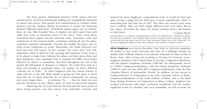The final quartet, *Hallelujah Anyhow* (2019) opens with the massed power of all four instruments making one unmistakable statement in unison and octaves. This quartet was commissioned by Chamber Music America and the Andrew Mellon Foundation to honor the Momenta Quartet's fifteenth anniversary. Tremolandi appear again, but, in contrast, there are also little frog-like bites of duplets one pitch apart from each other that come to dominate much of the piece. Then, from these tremolandi there appear staccato sixteenth notes, sometimes scalar and reminiscent of Near Eastern modes, sometimes running all over the place, sometimes repeated tremolando. Towards the middle, the piece rises to what seems symphonic in scope. Meanwhile, the battle between very loud and very soft ensues. In fact, saving "very loud" and "very soft" understates what is called for. The opening tutti statement of the work is to be played at triple forte, followed by silence and then mezzo-forte and then pianissimo. Later, quintuple forte is required (sic! fffff) several times followed by silence or pianissimo. And then throughout the rest of the quartet the full gamut of dynamics is utilized. The work then ends in a long soft passage at quadruple piano (sic! pppp). So many different contrasts are at work… So often Singleton puts the serious listener at odds with his or her self. What mainly is going on? This piece is about loud/soft. No, it's about slow/fast. No, it's about counterpoint. No, unison and octave legato lines . . . or pizzicato. No . . . then he tricks you and presents all factors at once. What a piece of work are these four quartets! Observing the 52 years between the first and the most recent of

these string quartets, one also notices how uniformly cared-for and

musical has been Singleton's compositional work. It would be hard and quite wrong to judge that his 2019 piece is more sophisticated, adult, or interesting than that first one of 1967. The older one doesn't even seem more youthful. They are both simply different from each other. But in one aspect all remain the same—he invites, perhaps forces, the listener to truly listen. —Carman Moore

*Carman Moore is a composer with performances by the N.Y. Philharmonic, Cleveland Orchestra, San Francisco Symphony, and Chamber Music Society of Lincoln Center among his credits. He served as the first new music critic for New York's renowned* Village Voice *in the 1960s and '70s. He was a Guggenheim Fellow in 2013 and Composers Now Visionary Composer of 2020.*

**Alvin Singleton** was born in Brooklyn, New York, in 1940 and completed his studies at New York University and Yale. As a Fulbright Scholar, he studied with Goffredo Petrassi at Accademia Nazionale di Santa Cecilia in Rome, Italy. After living and working in Europe for fourteen years, Singleton returned to the United States to become Composer-in-Residence with the Atlanta Symphony Orchestra (1985–88). He subsequently served as UNISYS Composer-in-Residence with the Detroit Symphony Orchestra (1996–97) and was the 2002–2003 Composer-in-Residence with the Ritz Chamber Players of Jacksonville, Florida. In addition, he has served as Visiting Professor of Composition at the Yale University School of Music, Composer-In-Residence at the Curtis Institute of Music, and as the Karel Husa Visiting Professor of Composition at Ithaca College. Singleton has worked extensively with major orchestras worldwide and has written significant works for chamber and vocal ensembles, as well as works for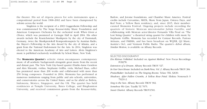the theater. His set of *Argoru* pieces for solo instruments span a compositional period from 1968–2002 and have been championed by soloists across the world.

Singleton is the recipient of a 2003 Guggenheim Fellowship and was commissioned by The Serge Koussevitzky Music Foundation and American Composers Orchestra for the orchestral work *When Given a Choice*, which was premiered at Carnegie Hall in April 2004. His other awards include the Kranichsteiner Musikpreis by the city of Darmstadt, Germany, twice the Musikprotokoll Kompositionspreis by Austrian Radio, the Mayor's Fellowship in the Arts Award by the city of Atlanta, and a grant from the National Endowment for the Arts. In 2014, Singleton was elected to the American Academy of Arts and Letters. Alvin Singleton's music is published exclusively worldwide by Schott Music, New York.

The **Momenta Quartet**'s eclectic vision encompasses contemporary music of all aesthetic backgrounds alongside great music from the recent and distant past. The New York City-based quartet (Emilie-Anne Gendron and Alex Shiozaki, violins; Stephanie Griffin, viola; Michael Haas, cello) has premiered more than 200 works and collaborated with more than 250 living composers. Founded in 2004, Momenta has performed at numerous institutions ranging from public and arts schools, universities, and conservatories across the United States, and as far afield as Bolivia, Indonesia, Mexico, Singapore, and the UK. The quartet has held residencies at Temple University, Bates College, and Binghamton University, and received commission grants from the Koussevitzky,

Barlow, and Jerome foundations, and Chamber Music America. Festival credits include Cervantino, MATA, Music from Japan, Ostrava Days, and Red Note; a Yellow Barn residency; and, since 2015, their membercurated Momenta Festival. Ongoing projects include recording the quartets of historic Mexican microtonalist Julián Carrillo; and collaborating with Mexican actor/director Fernando Villa Proal on "The Lost String Quartet," a theatrical string quartet for children with music by Stephanie Griffin. Momenta has recorded for Centaur Records, Furious Artisans, and PARMA, and has been broadcast on WQXR, Q2 Music, Austria's Oe1, and Vermont Public Radio. The quartet's debut album, *Similar Motion*, is available on Albany Records.

SELECTED DISCOGRAPHY

*Ein Kleines Volkslied*. Included on *Against Method*. New Focus Recordings FCR278.

*Extension of a Dream*. Albany Records TROY 527.

*In Our Own House*. Included on *Dark Fires, Vol. 2*. Albany Records TROY 384.

*PraiseMaker*. Included on *The Singing Rooms*. Telarc TEL 32630.

*Shadows, After Fallen Crumbs, A Yellow Rose Petal*. Elektra Nonesuch 9 79231-2.

*Sing to the Sun*. Albany Records TROY 902.

*Somehow We Can*. Tzadik TZ 7075.

*Sweet Chariot*. Albany Records TROY1501.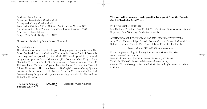Producer: Ryan Streber Engineers: Ryan Streber, Charles Mueller Editing and Mixing: Charles Mueller Recorded in October 2021 at Oktaven Audio, Mount Vernon, NY. Digital mastering: Paul Zinman, SoundByte Productions Inc., NYC Front cover photo: Mimadeo Design: Bob Defrin Design, Inc., NYC

All works published by Schott Music, New York.

#### Acknowledgments:

This album was made possible in part through generous grants from The Aaron Copland Fund for Music and The Alice M. Ditson Fund of Columbia University; and supported by New Music USA, made possible by annual program support and/or endowment gifts from the Mary Flagler Cary Charitable Trust, New York City Department of Cultural Affairs, Helen F. Whitaker Fund, The Aaron Copland Fund for Music, Inc., and the Howard Gilman Foundation. The commission of *Hallelujah Anyhow* (String Quartet No. 4) has been made possible by the Chamber Music America Classical Commissioning Program, with generous funding provided by The Andrew W. Mellon Foundation.

**This recording was also made possible by a grant from the Francis Goelet Charitable Lead Trust.**

#### FOR NEW WORLD RECORDS:

Lisa Kahlden, President; Paul M. Tai, Vice-President, Director of Artists and Repertory; Sam Weinberg, Production Associate.

### ANTHOLOGY OF RECORDED MUSIC, INC., BOARD OF TRUSTEES:

Amy Beal, Thomas Teige Carroll, Robert Clarida, Emanuel Gerard, Lisa Kahlden, Herman Krawitz, Fred Lerdahl, Larry Polansky, Paul M. Tai.

### Francis Goelet (1926–1998), *In Memoriam*

For a complete catalog, including liner notes, visit our Web site: www.newworldrecords.org. New World Records, 304 Water Street, Brooklyn, NY 11201 Tel (212) 290-1680 E-mail: info@newworldrecords.org - & © 2022 Anthology of Recorded Music, Inc. All rights reserved. Made in U.S.A.

The Aaron Copland Fund for Music  $\bigcap$ 

**NEWAUSIC** 

Chamber Music America

15